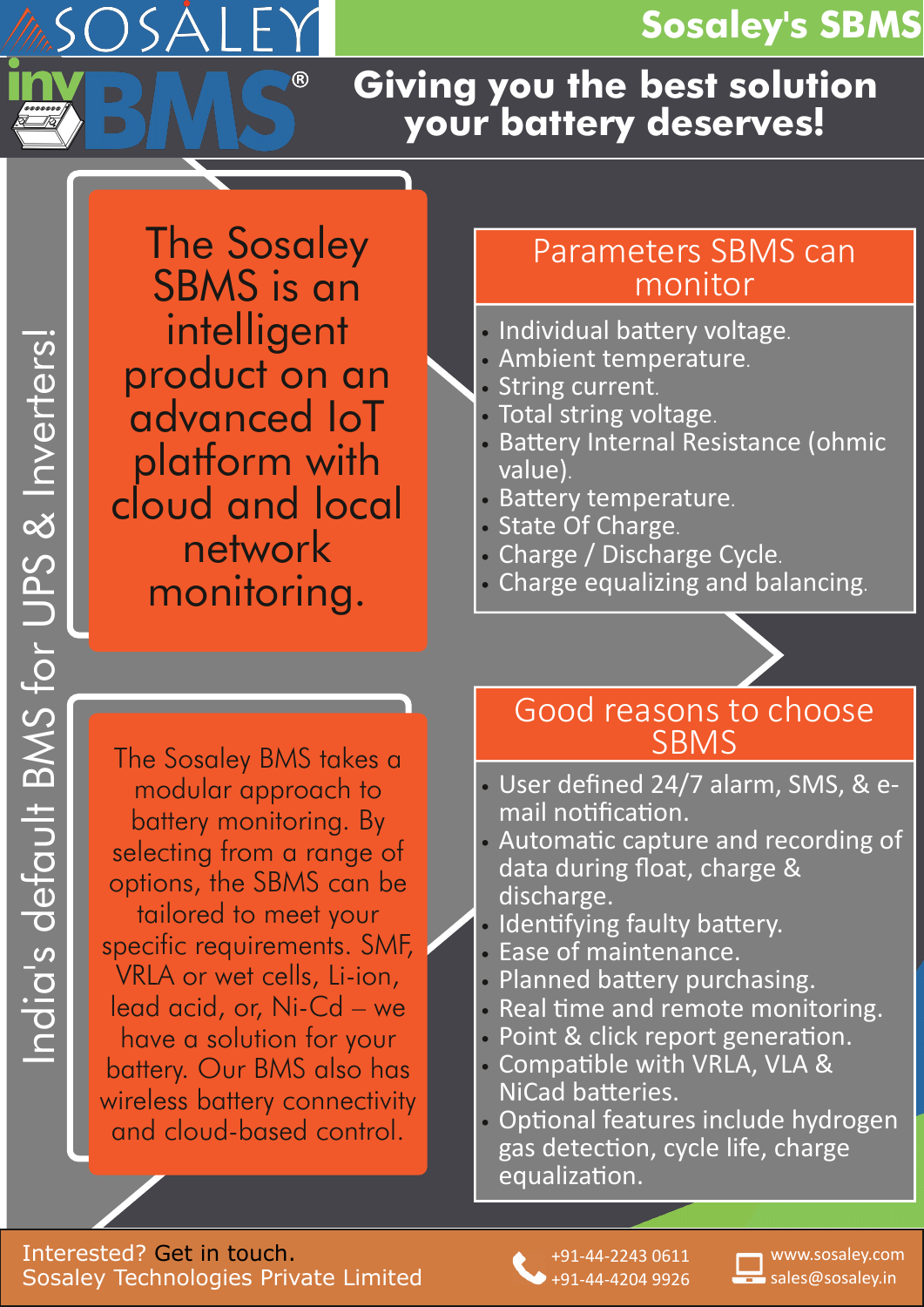## **Sosaley's SBMS**

## **Giving you the best solution your battery deserves!**

The Sosaley SBMS is an intelligent product on an advanced IoT platform with cloud and local network monitoring.

| F

### Parameters SBMS can monitor

- Individual battery voltage.
- Ambient temperature.
- String current.
- Total string voltage.
- Battery Internal Resistance (ohmic value).
- Battery temperature.
- State Of Charge.
- Charge / Discharge Cycle.
- Charge equalizing and balancing.

The Sosaley BMS takes a modular approach to battery monitoring. By selecting from a range of options, the SBMS can be tailored to meet your specific requirements. SMF, VRLA or wet cells, Li-ion, lead acid, or, Ni-Cd – we have a solution for your battery. Our BMS also has wireless battery connectivity and cloud-based control.

#### Good reasons to choose **SBMS**

- User defined 24/7 alarm, SMS, & e‐ mail notification.
- Automatic capture and recording of data during float, charge & discharge.
- Identifying faulty battery.
- Ease of maintenance.
- Planned battery purchasing.
- Real time and remote monitoring.
- Point & click report generation.
- Compatible with VRLA, VLA & NiCad batteries.
- Optional features include hydrogen gas detection, cycle life, charge equalization.

Interested? Get in touch. Sosaley Technologies Private Limited